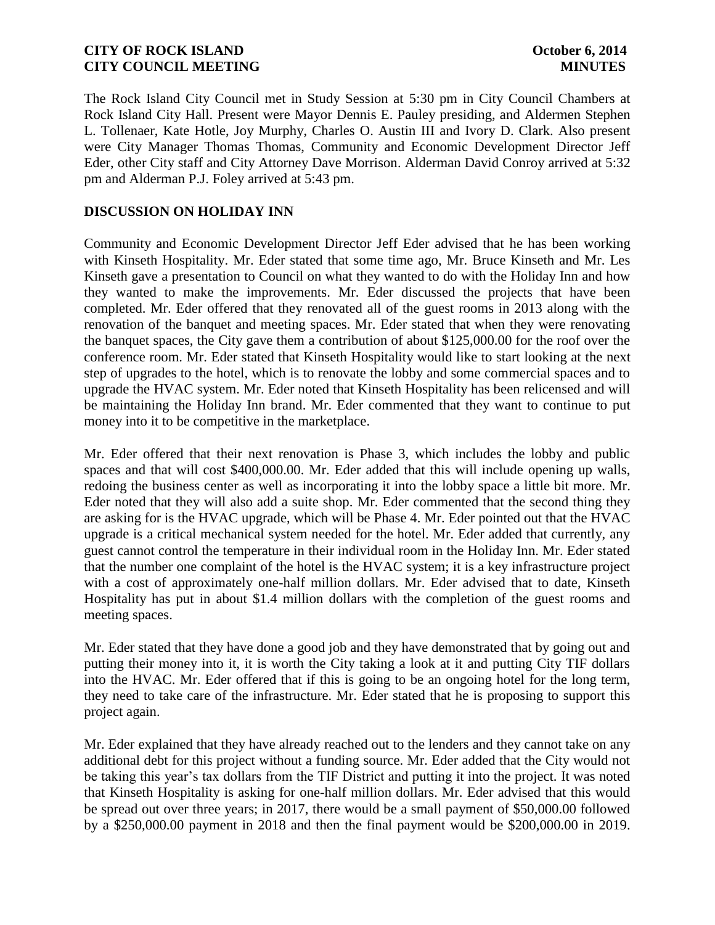The Rock Island City Council met in Study Session at 5:30 pm in City Council Chambers at Rock Island City Hall. Present were Mayor Dennis E. Pauley presiding, and Aldermen Stephen L. Tollenaer, Kate Hotle, Joy Murphy, Charles O. Austin III and Ivory D. Clark. Also present were City Manager Thomas Thomas, Community and Economic Development Director Jeff Eder, other City staff and City Attorney Dave Morrison. Alderman David Conroy arrived at 5:32 pm and Alderman P.J. Foley arrived at 5:43 pm.

# **DISCUSSION ON HOLIDAY INN**

Community and Economic Development Director Jeff Eder advised that he has been working with Kinseth Hospitality. Mr. Eder stated that some time ago, Mr. Bruce Kinseth and Mr. Les Kinseth gave a presentation to Council on what they wanted to do with the Holiday Inn and how they wanted to make the improvements. Mr. Eder discussed the projects that have been completed. Mr. Eder offered that they renovated all of the guest rooms in 2013 along with the renovation of the banquet and meeting spaces. Mr. Eder stated that when they were renovating the banquet spaces, the City gave them a contribution of about \$125,000.00 for the roof over the conference room. Mr. Eder stated that Kinseth Hospitality would like to start looking at the next step of upgrades to the hotel, which is to renovate the lobby and some commercial spaces and to upgrade the HVAC system. Mr. Eder noted that Kinseth Hospitality has been relicensed and will be maintaining the Holiday Inn brand. Mr. Eder commented that they want to continue to put money into it to be competitive in the marketplace.

Mr. Eder offered that their next renovation is Phase 3, which includes the lobby and public spaces and that will cost \$400,000.00. Mr. Eder added that this will include opening up walls, redoing the business center as well as incorporating it into the lobby space a little bit more. Mr. Eder noted that they will also add a suite shop. Mr. Eder commented that the second thing they are asking for is the HVAC upgrade, which will be Phase 4. Mr. Eder pointed out that the HVAC upgrade is a critical mechanical system needed for the hotel. Mr. Eder added that currently, any guest cannot control the temperature in their individual room in the Holiday Inn. Mr. Eder stated that the number one complaint of the hotel is the HVAC system; it is a key infrastructure project with a cost of approximately one-half million dollars. Mr. Eder advised that to date, Kinseth Hospitality has put in about \$1.4 million dollars with the completion of the guest rooms and meeting spaces.

Mr. Eder stated that they have done a good job and they have demonstrated that by going out and putting their money into it, it is worth the City taking a look at it and putting City TIF dollars into the HVAC. Mr. Eder offered that if this is going to be an ongoing hotel for the long term, they need to take care of the infrastructure. Mr. Eder stated that he is proposing to support this project again.

Mr. Eder explained that they have already reached out to the lenders and they cannot take on any additional debt for this project without a funding source. Mr. Eder added that the City would not be taking this year's tax dollars from the TIF District and putting it into the project. It was noted that Kinseth Hospitality is asking for one-half million dollars. Mr. Eder advised that this would be spread out over three years; in 2017, there would be a small payment of \$50,000.00 followed by a \$250,000.00 payment in 2018 and then the final payment would be \$200,000.00 in 2019.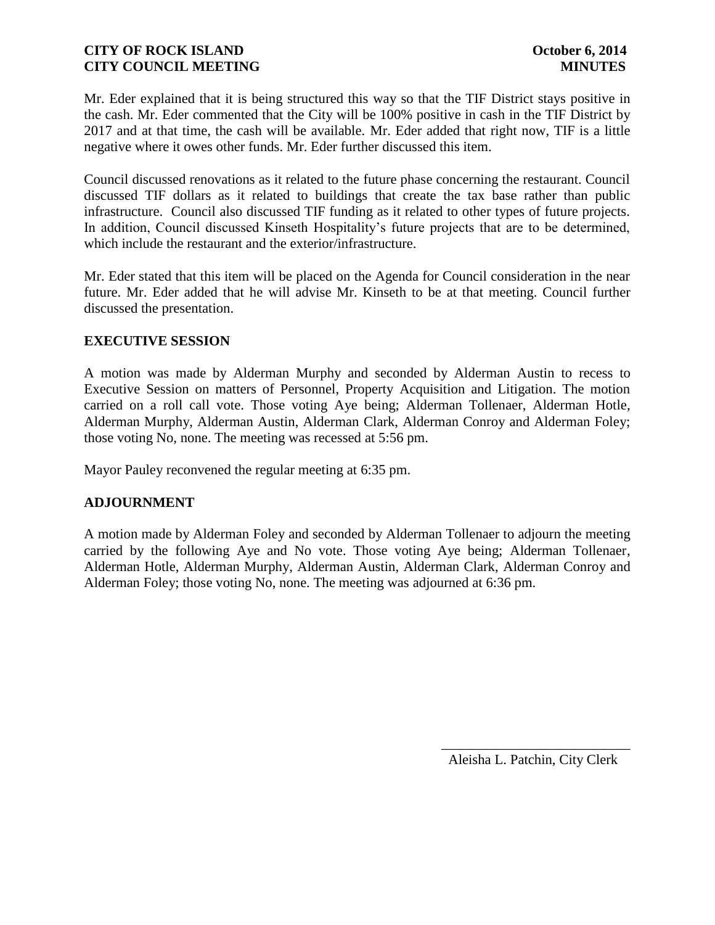Mr. Eder explained that it is being structured this way so that the TIF District stays positive in the cash. Mr. Eder commented that the City will be 100% positive in cash in the TIF District by 2017 and at that time, the cash will be available. Mr. Eder added that right now, TIF is a little negative where it owes other funds. Mr. Eder further discussed this item.

Council discussed renovations as it related to the future phase concerning the restaurant. Council discussed TIF dollars as it related to buildings that create the tax base rather than public infrastructure. Council also discussed TIF funding as it related to other types of future projects. In addition, Council discussed Kinseth Hospitality's future projects that are to be determined, which include the restaurant and the exterior/infrastructure.

Mr. Eder stated that this item will be placed on the Agenda for Council consideration in the near future. Mr. Eder added that he will advise Mr. Kinseth to be at that meeting. Council further discussed the presentation.

# **EXECUTIVE SESSION**

A motion was made by Alderman Murphy and seconded by Alderman Austin to recess to Executive Session on matters of Personnel, Property Acquisition and Litigation. The motion carried on a roll call vote. Those voting Aye being; Alderman Tollenaer, Alderman Hotle, Alderman Murphy, Alderman Austin, Alderman Clark, Alderman Conroy and Alderman Foley; those voting No, none. The meeting was recessed at 5:56 pm.

Mayor Pauley reconvened the regular meeting at 6:35 pm.

# **ADJOURNMENT**

A motion made by Alderman Foley and seconded by Alderman Tollenaer to adjourn the meeting carried by the following Aye and No vote. Those voting Aye being; Alderman Tollenaer, Alderman Hotle, Alderman Murphy, Alderman Austin, Alderman Clark, Alderman Conroy and Alderman Foley; those voting No, none. The meeting was adjourned at 6:36 pm.

Aleisha L. Patchin, City Clerk

 $\frac{1}{2}$  ,  $\frac{1}{2}$  ,  $\frac{1}{2}$  ,  $\frac{1}{2}$  ,  $\frac{1}{2}$  ,  $\frac{1}{2}$  ,  $\frac{1}{2}$  ,  $\frac{1}{2}$  ,  $\frac{1}{2}$  ,  $\frac{1}{2}$  ,  $\frac{1}{2}$  ,  $\frac{1}{2}$  ,  $\frac{1}{2}$  ,  $\frac{1}{2}$  ,  $\frac{1}{2}$  ,  $\frac{1}{2}$  ,  $\frac{1}{2}$  ,  $\frac{1}{2}$  ,  $\frac{1$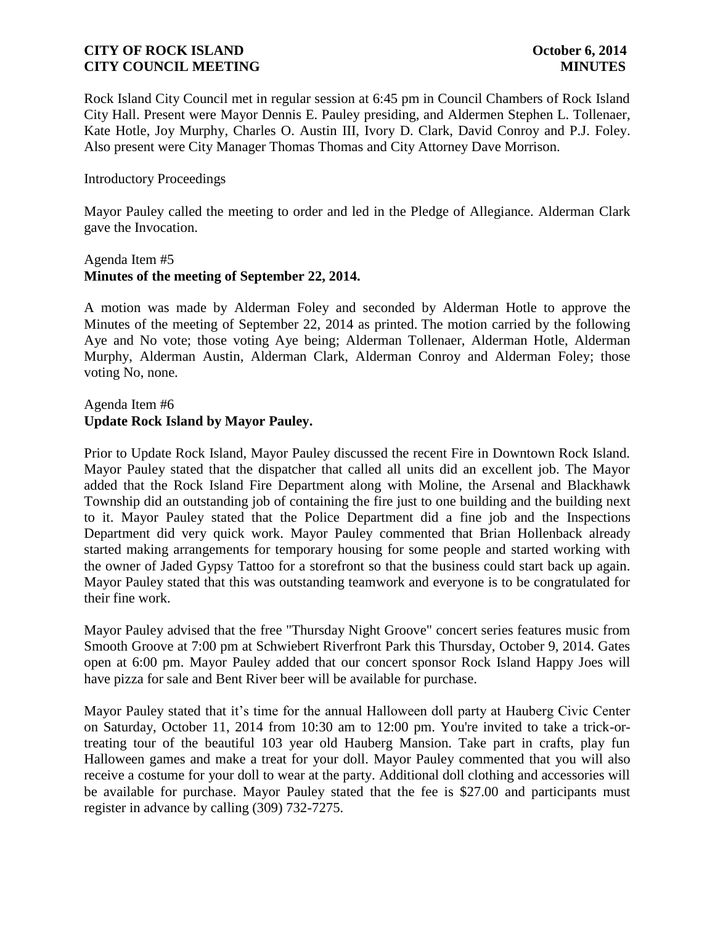Rock Island City Council met in regular session at 6:45 pm in Council Chambers of Rock Island City Hall. Present were Mayor Dennis E. Pauley presiding, and Aldermen Stephen L. Tollenaer, Kate Hotle, Joy Murphy, Charles O. Austin III, Ivory D. Clark, David Conroy and P.J. Foley. Also present were City Manager Thomas Thomas and City Attorney Dave Morrison.

### Introductory Proceedings

Mayor Pauley called the meeting to order and led in the Pledge of Allegiance. Alderman Clark gave the Invocation.

### Agenda Item #5 **Minutes of the meeting of September 22, 2014.**

A motion was made by Alderman Foley and seconded by Alderman Hotle to approve the Minutes of the meeting of September 22, 2014 as printed. The motion carried by the following Aye and No vote; those voting Aye being; Alderman Tollenaer, Alderman Hotle, Alderman Murphy, Alderman Austin, Alderman Clark, Alderman Conroy and Alderman Foley; those voting No, none.

# Agenda Item #6 **Update Rock Island by Mayor Pauley.**

Prior to Update Rock Island, Mayor Pauley discussed the recent Fire in Downtown Rock Island. Mayor Pauley stated that the dispatcher that called all units did an excellent job. The Mayor added that the Rock Island Fire Department along with Moline, the Arsenal and Blackhawk Township did an outstanding job of containing the fire just to one building and the building next to it. Mayor Pauley stated that the Police Department did a fine job and the Inspections Department did very quick work. Mayor Pauley commented that Brian Hollenback already started making arrangements for temporary housing for some people and started working with the owner of Jaded Gypsy Tattoo for a storefront so that the business could start back up again. Mayor Pauley stated that this was outstanding teamwork and everyone is to be congratulated for their fine work.

Mayor Pauley advised that the free "Thursday Night Groove" concert series features music from Smooth Groove at 7:00 pm at Schwiebert Riverfront Park this Thursday, October 9, 2014. Gates open at 6:00 pm. Mayor Pauley added that our concert sponsor Rock Island Happy Joes will have pizza for sale and Bent River beer will be available for purchase.

Mayor Pauley stated that it's time for the annual Halloween doll party at Hauberg Civic Center on Saturday, October 11, 2014 from 10:30 am to 12:00 pm. You're invited to take a trick-ortreating tour of the beautiful 103 year old Hauberg Mansion. Take part in crafts, play fun Halloween games and make a treat for your doll. Mayor Pauley commented that you will also receive a costume for your doll to wear at the party. Additional doll clothing and accessories will be available for purchase. Mayor Pauley stated that the fee is \$27.00 and participants must register in advance by calling (309) 732-7275.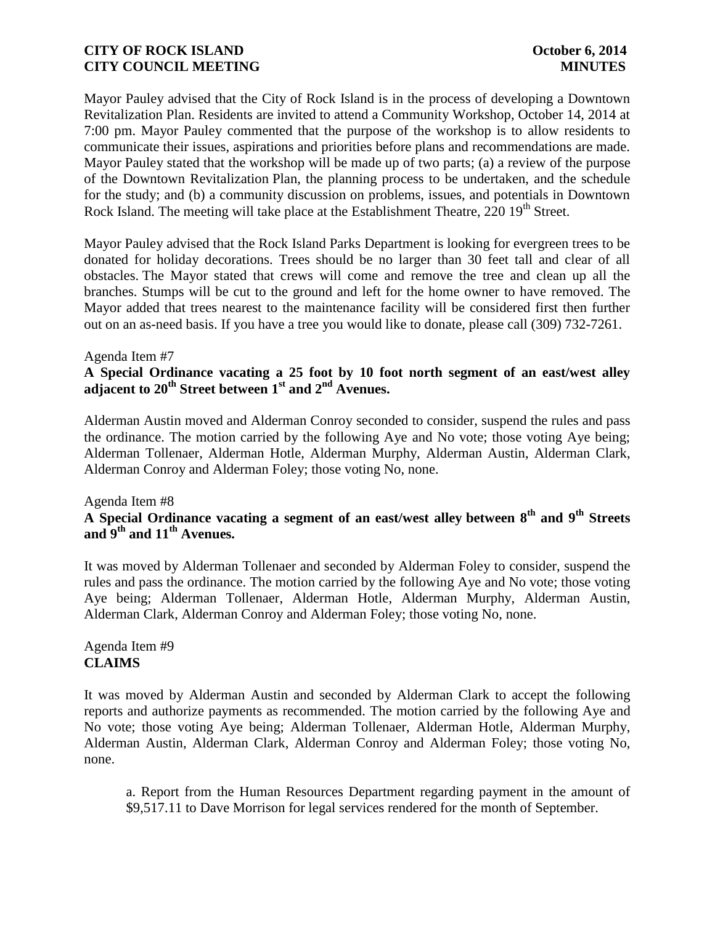Mayor Pauley advised that the City of Rock Island is in the process of developing a Downtown Revitalization Plan. Residents are invited to attend a Community Workshop, October 14, 2014 at 7:00 pm. Mayor Pauley commented that the purpose of the workshop is to allow residents to communicate their issues, aspirations and priorities before plans and recommendations are made. Mayor Pauley stated that the workshop will be made up of two parts; (a) a review of the purpose of the Downtown Revitalization Plan, the planning process to be undertaken, and the schedule for the study; and (b) a community discussion on problems, issues, and potentials in Downtown Rock Island. The meeting will take place at the Establishment Theatre, 220 19<sup>th</sup> Street.

Mayor Pauley advised that the Rock Island Parks Department is looking for evergreen trees to be donated for holiday decorations. Trees should be no larger than 30 feet tall and clear of all obstacles. The Mayor stated that crews will come and remove the tree and clean up all the branches. Stumps will be cut to the ground and left for the home owner to have removed. The Mayor added that trees nearest to the maintenance facility will be considered first then further out on an as-need basis. If you have a tree you would like to donate, please call (309) 732-7261.

### Agenda Item #7

**A Special Ordinance vacating a 25 foot by 10 foot north segment of an east/west alley adjacent to 20th Street between 1st and 2nd Avenues.** 

Alderman Austin moved and Alderman Conroy seconded to consider, suspend the rules and pass the ordinance. The motion carried by the following Aye and No vote; those voting Aye being; Alderman Tollenaer, Alderman Hotle, Alderman Murphy, Alderman Austin, Alderman Clark, Alderman Conroy and Alderman Foley; those voting No, none.

#### Agenda Item #8

# **A Special Ordinance vacating a segment of an east/west alley between 8 th and 9th Streets and 9th and 11th Avenues.**

It was moved by Alderman Tollenaer and seconded by Alderman Foley to consider, suspend the rules and pass the ordinance. The motion carried by the following Aye and No vote; those voting Aye being; Alderman Tollenaer, Alderman Hotle, Alderman Murphy, Alderman Austin, Alderman Clark, Alderman Conroy and Alderman Foley; those voting No, none.

# Agenda Item #9 **CLAIMS**

It was moved by Alderman Austin and seconded by Alderman Clark to accept the following reports and authorize payments as recommended. The motion carried by the following Aye and No vote; those voting Aye being; Alderman Tollenaer, Alderman Hotle, Alderman Murphy, Alderman Austin, Alderman Clark, Alderman Conroy and Alderman Foley; those voting No, none.

a. Report from the Human Resources Department regarding payment in the amount of \$9,517.11 to Dave Morrison for legal services rendered for the month of September.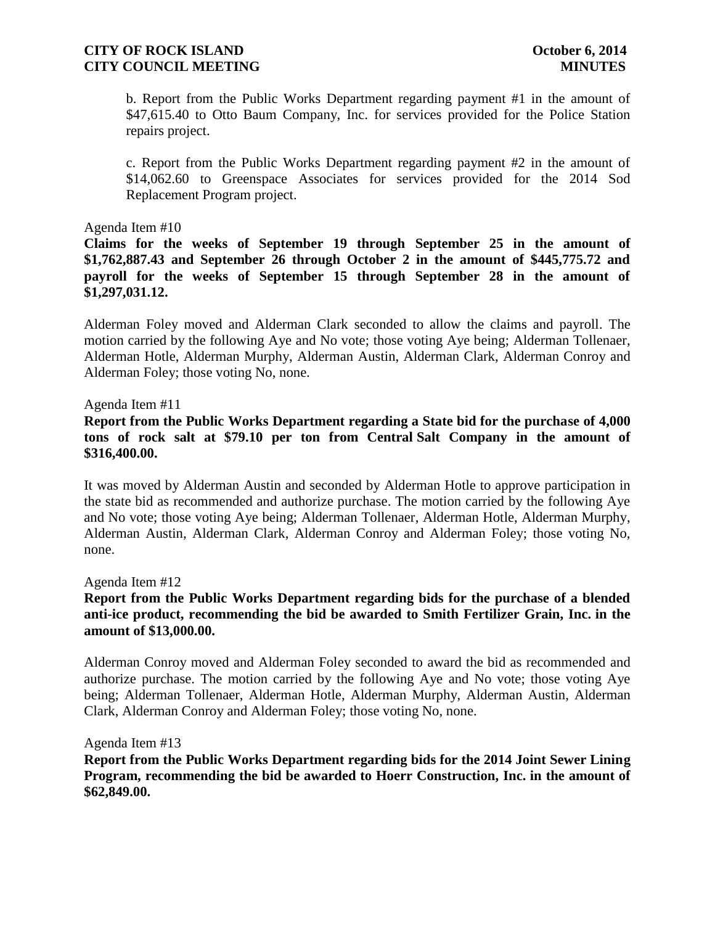b. Report from the Public Works Department regarding payment #1 in the amount of \$47,615.40 to Otto Baum Company, Inc. for services provided for the Police Station repairs project.

c. Report from the Public Works Department regarding payment #2 in the amount of \$14,062.60 to Greenspace Associates for services provided for the 2014 Sod Replacement Program project.

### Agenda Item #10

**Claims for the weeks of September 19 through September 25 in the amount of \$1,762,887.43 and September 26 through October 2 in the amount of \$445,775.72 and payroll for the weeks of September 15 through September 28 in the amount of \$1,297,031.12.**

Alderman Foley moved and Alderman Clark seconded to allow the claims and payroll. The motion carried by the following Aye and No vote; those voting Aye being; Alderman Tollenaer, Alderman Hotle, Alderman Murphy, Alderman Austin, Alderman Clark, Alderman Conroy and Alderman Foley; those voting No, none.

### Agenda Item #11

### **Report from the Public Works Department regarding a State bid for the purchase of 4,000 tons of rock salt at \$79.10 per ton from Central Salt Company in the amount of \$316,400.00.**

It was moved by Alderman Austin and seconded by Alderman Hotle to approve participation in the state bid as recommended and authorize purchase. The motion carried by the following Aye and No vote; those voting Aye being; Alderman Tollenaer, Alderman Hotle, Alderman Murphy, Alderman Austin, Alderman Clark, Alderman Conroy and Alderman Foley; those voting No, none.

Agenda Item #12

# **Report from the Public Works Department regarding bids for the purchase of a blended anti-ice product, recommending the bid be awarded to Smith Fertilizer Grain, Inc. in the amount of \$13,000.00.**

Alderman Conroy moved and Alderman Foley seconded to award the bid as recommended and authorize purchase. The motion carried by the following Aye and No vote; those voting Aye being; Alderman Tollenaer, Alderman Hotle, Alderman Murphy, Alderman Austin, Alderman Clark, Alderman Conroy and Alderman Foley; those voting No, none.

Agenda Item #13

**Report from the Public Works Department regarding bids for the 2014 Joint Sewer Lining Program, recommending the bid be awarded to Hoerr Construction, Inc. in the amount of \$62,849.00.**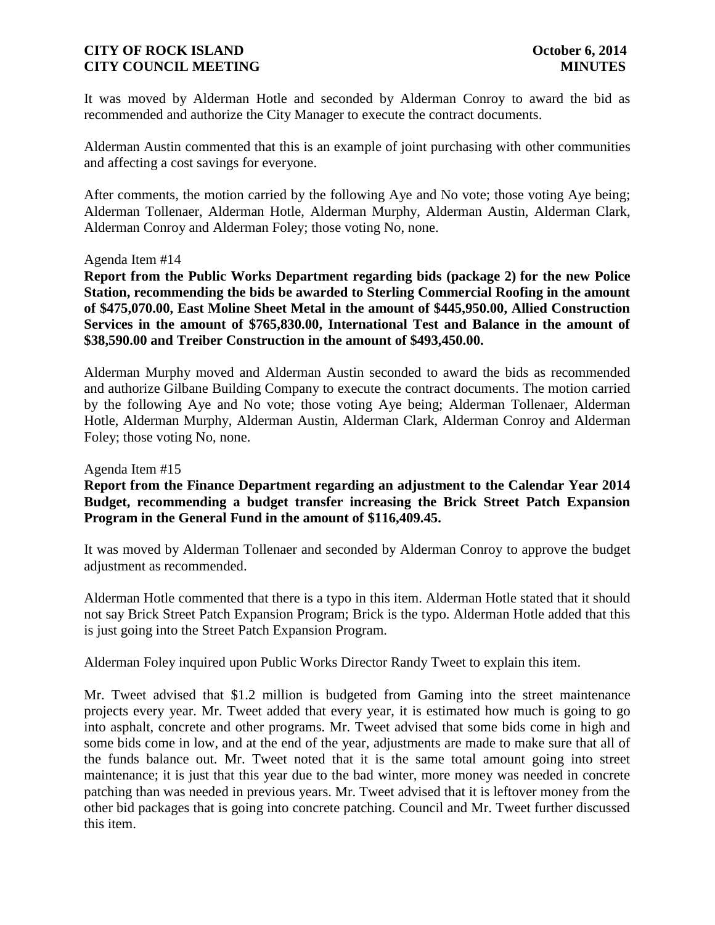# **CITY OF ROCK ISLAND CITY OF ROCK ISLAND CITY COUNCIL MEETING MINUTES**

It was moved by Alderman Hotle and seconded by Alderman Conroy to award the bid as recommended and authorize the City Manager to execute the contract documents.

Alderman Austin commented that this is an example of joint purchasing with other communities and affecting a cost savings for everyone.

After comments, the motion carried by the following Aye and No vote; those voting Aye being; Alderman Tollenaer, Alderman Hotle, Alderman Murphy, Alderman Austin, Alderman Clark, Alderman Conroy and Alderman Foley; those voting No, none.

#### Agenda Item #14

**Report from the Public Works Department regarding bids (package 2) for the new Police Station, recommending the bids be awarded to Sterling Commercial Roofing in the amount of \$475,070.00, East Moline Sheet Metal in the amount of \$445,950.00, Allied Construction Services in the amount of \$765,830.00, International Test and Balance in the amount of \$38,590.00 and Treiber Construction in the amount of \$493,450.00.**

Alderman Murphy moved and Alderman Austin seconded to award the bids as recommended and authorize Gilbane Building Company to execute the contract documents. The motion carried by the following Aye and No vote; those voting Aye being; Alderman Tollenaer, Alderman Hotle, Alderman Murphy, Alderman Austin, Alderman Clark, Alderman Conroy and Alderman Foley; those voting No, none.

#### Agenda Item #15

# **Report from the Finance Department regarding an adjustment to the Calendar Year 2014 Budget, recommending a budget transfer increasing the Brick Street Patch Expansion Program in the General Fund in the amount of \$116,409.45.**

It was moved by Alderman Tollenaer and seconded by Alderman Conroy to approve the budget adjustment as recommended.

Alderman Hotle commented that there is a typo in this item. Alderman Hotle stated that it should not say Brick Street Patch Expansion Program; Brick is the typo. Alderman Hotle added that this is just going into the Street Patch Expansion Program.

Alderman Foley inquired upon Public Works Director Randy Tweet to explain this item.

Mr. Tweet advised that \$1.2 million is budgeted from Gaming into the street maintenance projects every year. Mr. Tweet added that every year, it is estimated how much is going to go into asphalt, concrete and other programs. Mr. Tweet advised that some bids come in high and some bids come in low, and at the end of the year, adjustments are made to make sure that all of the funds balance out. Mr. Tweet noted that it is the same total amount going into street maintenance; it is just that this year due to the bad winter, more money was needed in concrete patching than was needed in previous years. Mr. Tweet advised that it is leftover money from the other bid packages that is going into concrete patching. Council and Mr. Tweet further discussed this item.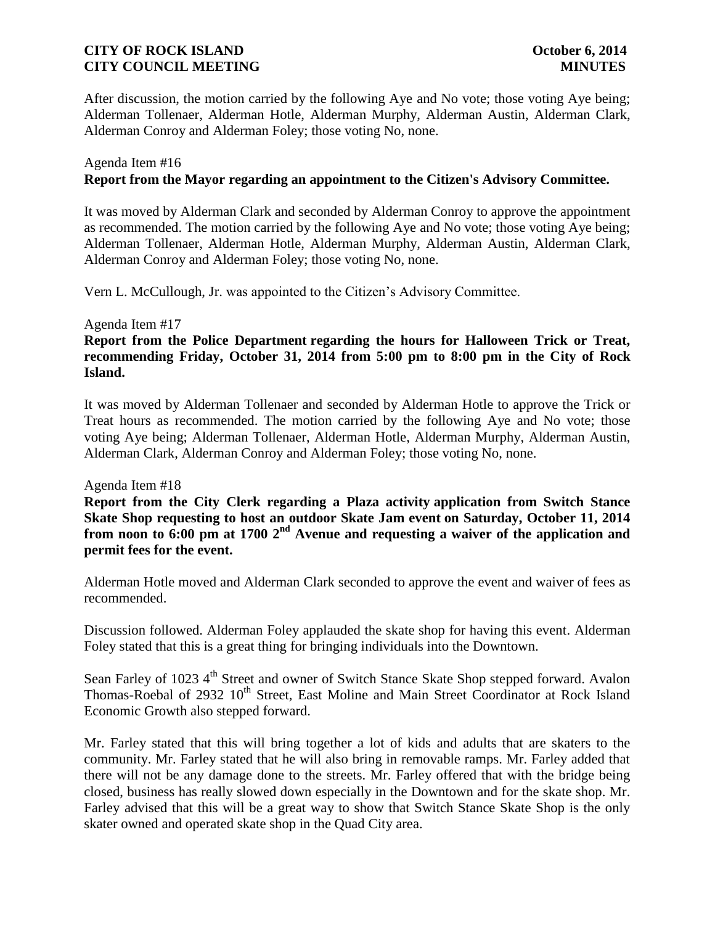After discussion, the motion carried by the following Aye and No vote; those voting Aye being; Alderman Tollenaer, Alderman Hotle, Alderman Murphy, Alderman Austin, Alderman Clark, Alderman Conroy and Alderman Foley; those voting No, none.

### Agenda Item #16 **Report from the Mayor regarding an appointment to the Citizen's Advisory Committee.**

It was moved by Alderman Clark and seconded by Alderman Conroy to approve the appointment as recommended. The motion carried by the following Aye and No vote; those voting Aye being; Alderman Tollenaer, Alderman Hotle, Alderman Murphy, Alderman Austin, Alderman Clark, Alderman Conroy and Alderman Foley; those voting No, none.

Vern L. McCullough, Jr. was appointed to the Citizen's Advisory Committee.

#### Agenda Item #17

# **Report from the Police Department regarding the hours for Halloween Trick or Treat, recommending Friday, October 31, 2014 from 5:00 pm to 8:00 pm in the City of Rock Island.**

It was moved by Alderman Tollenaer and seconded by Alderman Hotle to approve the Trick or Treat hours as recommended. The motion carried by the following Aye and No vote; those voting Aye being; Alderman Tollenaer, Alderman Hotle, Alderman Murphy, Alderman Austin, Alderman Clark, Alderman Conroy and Alderman Foley; those voting No, none.

#### Agenda Item #18

**Report from the City Clerk regarding a Plaza activity application from Switch Stance Skate Shop requesting to host an outdoor Skate Jam event on Saturday, October 11, 2014 from noon to 6:00 pm at 1700 2nd Avenue and requesting a waiver of the application and permit fees for the event.**

Alderman Hotle moved and Alderman Clark seconded to approve the event and waiver of fees as recommended.

Discussion followed. Alderman Foley applauded the skate shop for having this event. Alderman Foley stated that this is a great thing for bringing individuals into the Downtown.

Sean Farley of 1023 4<sup>th</sup> Street and owner of Switch Stance Skate Shop stepped forward. Avalon Thomas-Roebal of 2932 10<sup>th</sup> Street, East Moline and Main Street Coordinator at Rock Island Economic Growth also stepped forward.

Mr. Farley stated that this will bring together a lot of kids and adults that are skaters to the community. Mr. Farley stated that he will also bring in removable ramps. Mr. Farley added that there will not be any damage done to the streets. Mr. Farley offered that with the bridge being closed, business has really slowed down especially in the Downtown and for the skate shop. Mr. Farley advised that this will be a great way to show that Switch Stance Skate Shop is the only skater owned and operated skate shop in the Quad City area.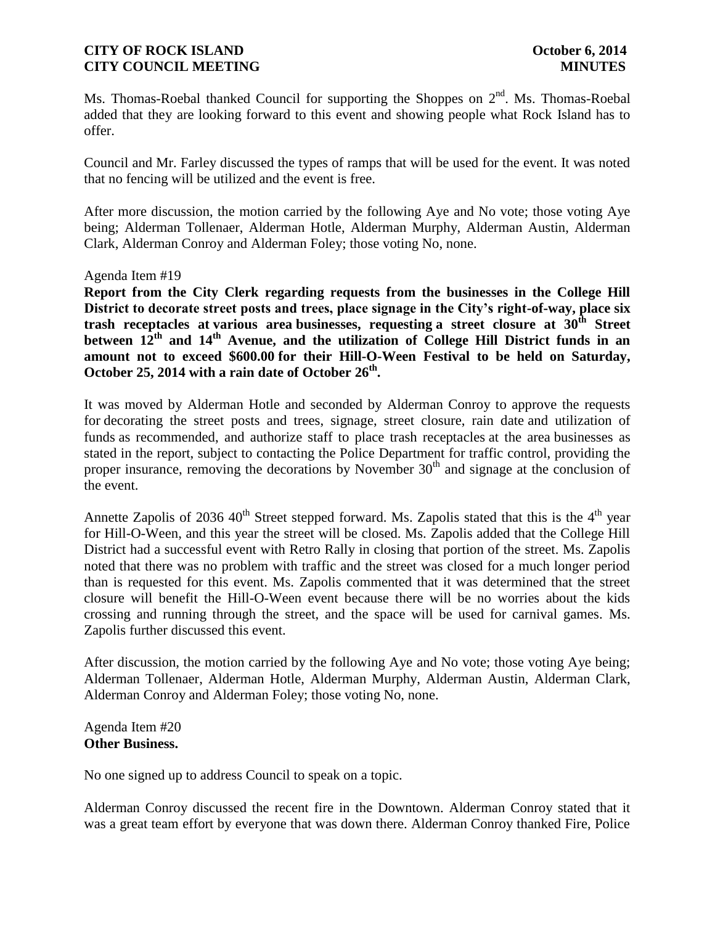Ms. Thomas-Roebal thanked Council for supporting the Shoppes on  $2<sup>nd</sup>$ . Ms. Thomas-Roebal added that they are looking forward to this event and showing people what Rock Island has to offer.

Council and Mr. Farley discussed the types of ramps that will be used for the event. It was noted that no fencing will be utilized and the event is free.

After more discussion, the motion carried by the following Aye and No vote; those voting Aye being; Alderman Tollenaer, Alderman Hotle, Alderman Murphy, Alderman Austin, Alderman Clark, Alderman Conroy and Alderman Foley; those voting No, none.

### Agenda Item #19

**Report from the City Clerk regarding requests from the businesses in the College Hill District to decorate street posts and trees, place signage in the City's right-of-way, place six trash receptacles at various area businesses, requesting a street closure at 30th Street between 12th and 14th Avenue, and the utilization of College Hill District funds in an amount not to exceed \$600.00 for their Hill-O-Ween Festival to be held on Saturday, October 25, 2014 with a rain date of October 26th .** 

It was moved by Alderman Hotle and seconded by Alderman Conroy to approve the requests for decorating the street posts and trees, signage, street closure, rain date and utilization of funds as recommended, and authorize staff to place trash receptacles at the area businesses as stated in the report, subject to contacting the Police Department for traffic control, providing the proper insurance, removing the decorations by November  $30<sup>th</sup>$  and signage at the conclusion of the event.

Annette Zapolis of 2036  $40^{\text{th}}$  Street stepped forward. Ms. Zapolis stated that this is the  $4^{\text{th}}$  year for Hill-O-Ween, and this year the street will be closed. Ms. Zapolis added that the College Hill District had a successful event with Retro Rally in closing that portion of the street. Ms. Zapolis noted that there was no problem with traffic and the street was closed for a much longer period than is requested for this event. Ms. Zapolis commented that it was determined that the street closure will benefit the Hill-O-Ween event because there will be no worries about the kids crossing and running through the street, and the space will be used for carnival games. Ms. Zapolis further discussed this event.

After discussion, the motion carried by the following Aye and No vote; those voting Aye being; Alderman Tollenaer, Alderman Hotle, Alderman Murphy, Alderman Austin, Alderman Clark, Alderman Conroy and Alderman Foley; those voting No, none.

Agenda Item #20 **Other Business.**

No one signed up to address Council to speak on a topic.

Alderman Conroy discussed the recent fire in the Downtown. Alderman Conroy stated that it was a great team effort by everyone that was down there. Alderman Conroy thanked Fire, Police